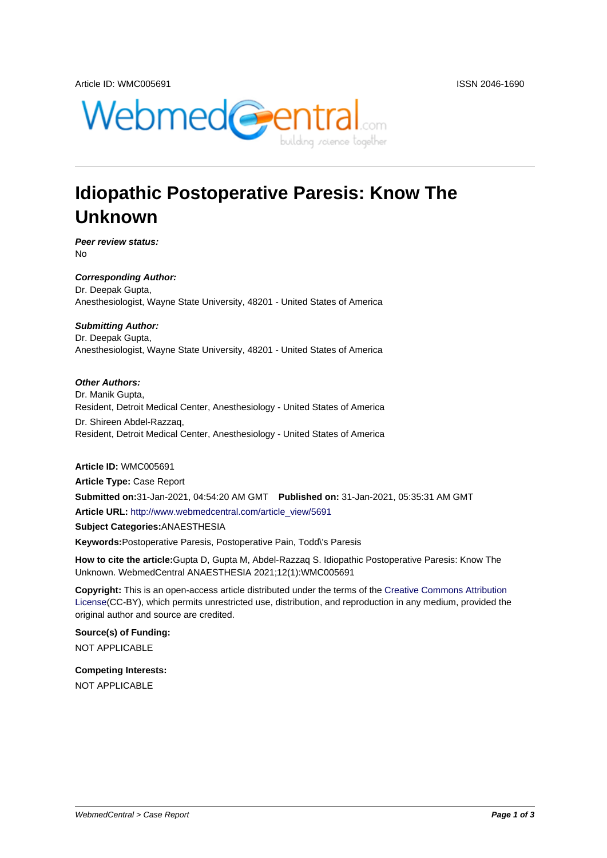

# **Idiopathic Postoperative Paresis: Know The Unknown**

**Peer review status:** No

**Corresponding Author:** Dr. Deepak Gupta, Anesthesiologist, Wayne State University, 48201 - United States of America

### **Submitting Author:**

Dr. Deepak Gupta, Anesthesiologist, Wayne State University, 48201 - United States of America

### **Other Authors:**

Dr. Manik Gupta, Resident, Detroit Medical Center, Anesthesiology - United States of America

Dr. Shireen Abdel-Razzaq, Resident, Detroit Medical Center, Anesthesiology - United States of America

#### **Article ID:** WMC005691

**Article Type:** Case Report **Submitted on:**31-Jan-2021, 04:54:20 AM GMT **Published on:** 31-Jan-2021, 05:35:31 AM GMT **Article URL:** http://www.webmedcentral.com/article\_view/5691 **Subject Categories:**ANAESTHESIA

**Keywords:**Postoperative Paresis, Postoperative Pain, Todd\'s Paresis

**How to cite the article:**[Gupta D, Gupta M, Abdel-Razzaq S. Id](http://www.webmedcentral.com/article_view/5691)iopathic Postoperative Paresis: Know The Unknown. WebmedCentral ANAESTHESIA 2021;12(1):WMC005691

**Copyright:** This is an open-access article distributed under the terms of the Creative Commons Attribution License(CC-BY), which permits unrestricted use, distribution, and reproduction in any medium, provided the original author and source are credited.

**Source(s) of Funding:** [NOT AP](http://creativecommons.org/licenses/by/3.0/)PLICABLE

**Competing Interests:** NOT APPLICABLE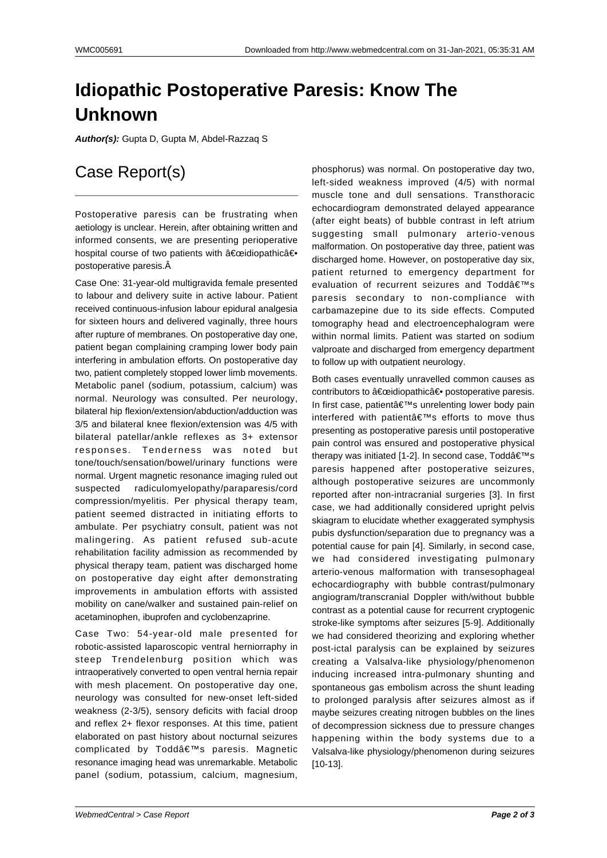# **Idiopathic Postoperative Paresis: Know The Unknown**

**Author(s):** Gupta D, Gupta M, Abdel-Razzaq S

## Case Report(s)

Postoperative paresis can be frustrating when aetiology is unclear. Herein, after obtaining written and informed consents, we are presenting perioperative hospital course of two patients with "idiopathicâ€. postoperative paresis.

Case One: 31-year-old multigravida female presented to labour and delivery suite in active labour. Patient received continuous-infusion labour epidural analgesia for sixteen hours and delivered vaginally, three hours after rupture of membranes. On postoperative day one, patient began complaining cramping lower body pain interfering in ambulation efforts. On postoperative day two, patient completely stopped lower limb movements. Metabolic panel (sodium, potassium, calcium) was normal. Neurology was consulted. Per neurology, bilateral hip flexion/extension/abduction/adduction was 3/5 and bilateral knee flexion/extension was 4/5 with bilateral patellar/ankle reflexes as 3+ extensor responses. Tenderness was noted but tone/touch/sensation/bowel/urinary functions were normal. Urgent magnetic resonance imaging ruled out suspected radiculomyelopathy/paraparesis/cord compression/myelitis. Per physical therapy team, patient seemed distracted in initiating efforts to ambulate. Per psychiatry consult, patient was not malingering. As patient refused sub-acute rehabilitation facility admission as recommended by physical therapy team, patient was discharged home on postoperative day eight after demonstrating improvements in ambulation efforts with assisted mobility on cane/walker and sustained pain-relief on acetaminophen, ibuprofen and cyclobenzaprine.

Case Two: 54-year-old male presented for robotic-assisted laparoscopic ventral herniorraphy in steep Trendelenburg position which was intraoperatively converted to open ventral hernia repair with mesh placement. On postoperative day one, neurology was consulted for new-onset left-sided weakness (2-3/5), sensory deficits with facial droop and reflex 2+ flexor responses. At this time, patient elaborated on past history about nocturnal seizures complicated by Todd's paresis. Magnetic resonance imaging head was unremarkable. Metabolic panel (sodium, potassium, calcium, magnesium,

phosphorus) was normal. On postoperative day two, left-sided weakness improved (4/5) with normal muscle tone and dull sensations. Transthoracic echocardiogram demonstrated delayed appearance (after eight beats) of bubble contrast in left atrium suggesting small pulmonary arterio-venous malformation. On postoperative day three, patient was discharged home. However, on postoperative day six, patient returned to emergency department for evaluation of recurrent seizures and Todd $\hat{a} \in \text{TMs}$ paresis secondary to non-compliance with carbamazepine due to its side effects. Computed tomography head and electroencephalogram were within normal limits. Patient was started on sodium valproate and discharged from emergency department to follow up with outpatient neurology.

Both cases eventually unravelled common causes as contributors to "idiopathic― postoperative paresis. In first case, patient's unrelenting lower body pain interfered with patient $\hat{a} \in \mathbb{T}^M$ s efforts to move thus presenting as postoperative paresis until postoperative pain control was ensured and postoperative physical therapy was initiated [1-2]. In second case, Todd's paresis happened after postoperative seizures, although postoperative seizures are uncommonly reported after non-intracranial surgeries [3]. In first case, we had additionally considered upright pelvis skiagram to elucidate whether exaggerated symphysis pubis dysfunction/separation due to pregnancy was a potential cause for pain [4]. Similarly, in second case, we had considered investigating pulmonary arterio-venous malformation with transesophageal echocardiography with bubble contrast/pulmonary angiogram/transcranial Doppler with/without bubble contrast as a potential cause for recurrent cryptogenic stroke-like symptoms after seizures [5-9]. Additionally we had considered theorizing and exploring whether post-ictal paralysis can be explained by seizures creating a Valsalva-like physiology/phenomenon inducing increased intra-pulmonary shunting and spontaneous gas embolism across the shunt leading to prolonged paralysis after seizures almost as if maybe seizures creating nitrogen bubbles on the lines of decompression sickness due to pressure changes happening within the body systems due to a Valsalva-like physiology/phenomenon during seizures [10-13].